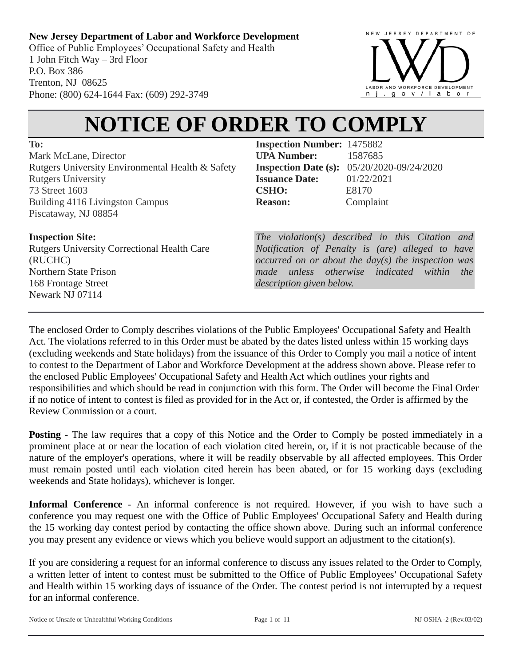Office of Public Employees' Occupational Safety and Health 1 John Fitch Way – 3rd Floor P.O. Box 386 Trenton, NJ 08625 Phone: (800) 624-1644 Fax: (609) 292-3749



# **NOTICE OF ORDER TO COMPLY**

**To:**

Mark McLane, Director Rutgers University Environmental Health & Safety Rutgers University 73 Street 1603 Building 4116 Livingston Campus Piscataway, NJ 08854

# **Inspection Site:**

Rutgers University Correctional Health Care (RUCHC) Northern State Prison 168 Frontage Street Newark NJ 07114

**Inspection Number:** 1475882 **UPA Number:** 1587685 **Inspection Date (s):** 05/20/2020-09/24/2020 **Issuance Date:** 01/22/2021 **CSHO:** E8170 **Reason:** Complaint

*The violation(s) described in this Citation and Notification of Penalty is (are) alleged to have occurred on or about the day(s) the inspection was made unless otherwise indicated within the description given below.*

The enclosed Order to Comply describes violations of the Public Employees' Occupational Safety and Health Act. The violations referred to in this Order must be abated by the dates listed unless within 15 working days (excluding weekends and State holidays) from the issuance of this Order to Comply you mail a notice of intent to contest to the Department of Labor and Workforce Development at the address shown above. Please refer to the enclosed Public Employees' Occupational Safety and Health Act which outlines your rights and responsibilities and which should be read in conjunction with this form. The Order will become the Final Order if no notice of intent to contest is filed as provided for in the Act or, if contested, the Order is affirmed by the Review Commission or a court.

**Posting** - The law requires that a copy of this Notice and the Order to Comply be posted immediately in a prominent place at or near the location of each violation cited herein, or, if it is not practicable because of the nature of the employer's operations, where it will be readily observable by all affected employees. This Order must remain posted until each violation cited herein has been abated, or for 15 working days (excluding weekends and State holidays), whichever is longer.

**Informal Conference** - An informal conference is not required. However, if you wish to have such a conference you may request one with the Office of Public Employees' Occupational Safety and Health during the 15 working day contest period by contacting the office shown above. During such an informal conference you may present any evidence or views which you believe would support an adjustment to the citation(s).

If you are considering a request for an informal conference to discuss any issues related to the Order to Comply, a written letter of intent to contest must be submitted to the Office of Public Employees' Occupational Safety and Health within 15 working days of issuance of the Order. The contest period is not interrupted by a request for an informal conference.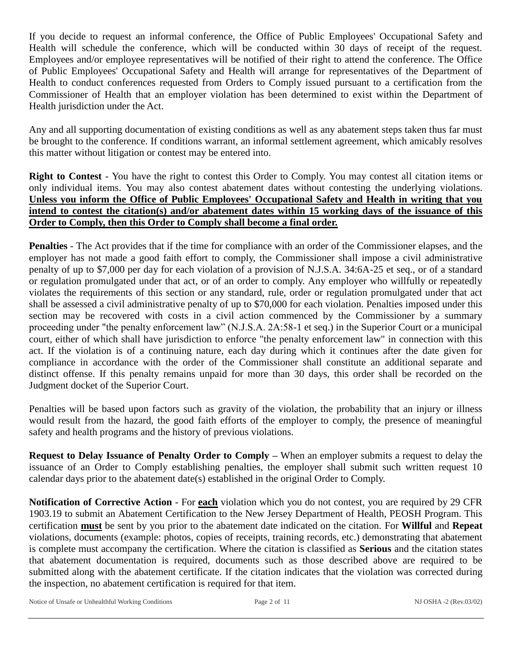If you decide to request an informal conference, the Office of Public Employees' Occupational Safety and Health will schedule the conference, which will be conducted within 30 days of receipt of the request. Employees and/or employee representatives will be notified of their right to attend the conference. The Office of Public Employees' Occupational Safety and Health will arrange for representatives of the Department of Health to conduct conferences requested from Orders to Comply issued pursuant to a certification from the Commissioner of Health that an employer violation has been determined to exist within the Department of Health jurisdiction under the Act.

Any and all supporting documentation of existing conditions as well as any abatement steps taken thus far must be brought to the conference. If conditions warrant, an informal settlement agreement, which amicably resolves this matter without litigation or contest may be entered into.

**Right to Contest** - You have the right to contest this Order to Comply. You may contest all citation items or only individual items. You may also contest abatement dates without contesting the underlying violations. **Unless you inform the Office of Public Employees' Occupational Safety and Health in writing that you intend to contest the citation(s) and/or abatement dates within 15 working days of the issuance of this Order to Comply, then this Order to Comply shall become a final order.**

**Penalties** - The Act provides that if the time for compliance with an order of the Commissioner elapses, and the employer has not made a good faith effort to comply, the Commissioner shall impose a civil administrative penalty of up to \$7,000 per day for each violation of a provision of N.J.S.A. 34:6A-25 et seq., or of a standard or regulation promulgated under that act, or of an order to comply. Any employer who willfully or repeatedly violates the requirements of this section or any standard, rule, order or regulation promulgated under that act shall be assessed a civil administrative penalty of up to \$70,000 for each violation. Penalties imposed under this section may be recovered with costs in a civil action commenced by the Commissioner by a summary proceeding under "the penalty enforcement law" (N.J.S.A. 2A:58-1 et seq.) in the Superior Court or a municipal court, either of which shall have jurisdiction to enforce "the penalty enforcement law" in connection with this act. If the violation is of a continuing nature, each day during which it continues after the date given for compliance in accordance with the order of the Commissioner shall constitute an additional separate and distinct offense. If this penalty remains unpaid for more than 30 days, this order shall be recorded on the Judgment docket of the Superior Court.

Penalties will be based upon factors such as gravity of the violation, the probability that an injury or illness would result from the hazard, the good faith efforts of the employer to comply, the presence of meaningful safety and health programs and the history of previous violations.

**Request to Delay Issuance of Penalty Order to Comply –** When an employer submits a request to delay the issuance of an Order to Comply establishing penalties, the employer shall submit such written request 10 calendar days prior to the abatement date(s) established in the original Order to Comply.

**Notification of Corrective Action** - For **each** violation which you do not contest, you are required by 29 CFR 1903.19 to submit an Abatement Certification to the New Jersey Department of Health, PEOSH Program. This certification **must** be sent by you prior to the abatement date indicated on the citation. For **Willful** and **Repeat** violations, documents (example: photos, copies of receipts, training records, etc.) demonstrating that abatement is complete must accompany the certification. Where the citation is classified as **Serious** and the citation states that abatement documentation is required, documents such as those described above are required to be submitted along with the abatement certificate. If the citation indicates that the violation was corrected during the inspection, no abatement certification is required for that item.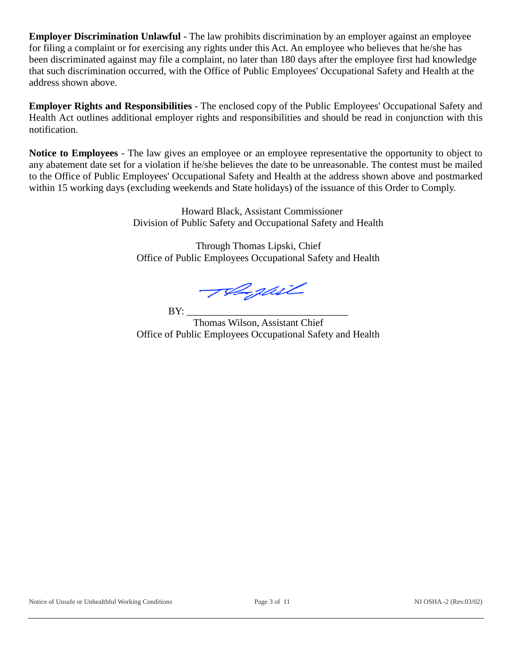**Employer Discrimination Unlawful** - The law prohibits discrimination by an employer against an employee for filing a complaint or for exercising any rights under this Act. An employee who believes that he/she has been discriminated against may file a complaint, no later than 180 days after the employee first had knowledge that such discrimination occurred, with the Office of Public Employees' Occupational Safety and Health at the address shown above.

**Employer Rights and Responsibilities** - The enclosed copy of the Public Employees' Occupational Safety and Health Act outlines additional employer rights and responsibilities and should be read in conjunction with this notification.

**Notice to Employees** - The law gives an employee or an employee representative the opportunity to object to any abatement date set for a violation if he/she believes the date to be unreasonable. The contest must be mailed to the Office of Public Employees' Occupational Safety and Health at the address shown above and postmarked within 15 working days (excluding weekends and State holidays) of the issuance of this Order to Comply.

> Howard Black, Assistant Commissioner Division of Public Safety and Occupational Safety and Health

Through Thomas Lipski, Chief Office of Public Employees Occupational Safety and Health

Telegail

BY: \_\_\_\_\_\_\_\_\_\_\_\_\_\_\_\_\_\_\_\_\_\_\_\_\_\_\_\_\_\_\_\_

Thomas Wilson, Assistant Chief Office of Public Employees Occupational Safety and Health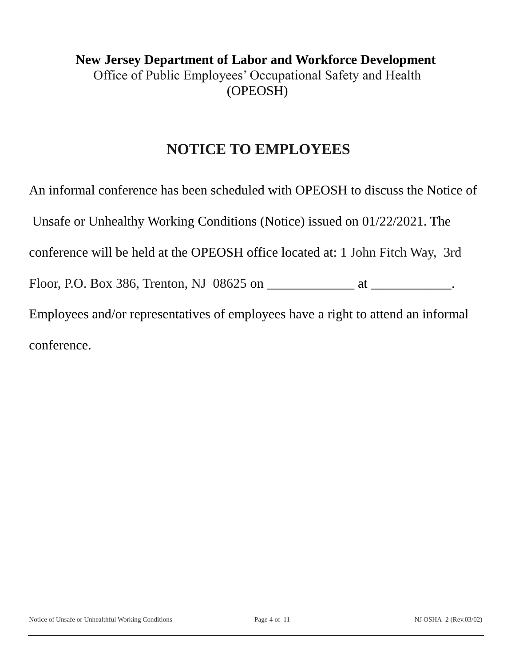# **New Jersey Department of Labor and Workforce Development** Office of Public Employees' Occupational Safety and Health (OPEOSH)

# **NOTICE TO EMPLOYEES**

An informal conference has been scheduled with OPEOSH to discuss the Notice of Unsafe or Unhealthy Working Conditions (Notice) issued on 01/22/2021. The conference will be held at the OPEOSH office located at: 1 John Fitch Way, 3rd Floor, P.O. Box 386, Trenton, NJ 08625 on \_\_\_\_\_\_\_\_\_\_\_\_\_\_\_\_\_\_\_\_\_\_\_\_\_\_\_\_\_. Employees and/or representatives of employees have a right to attend an informal conference.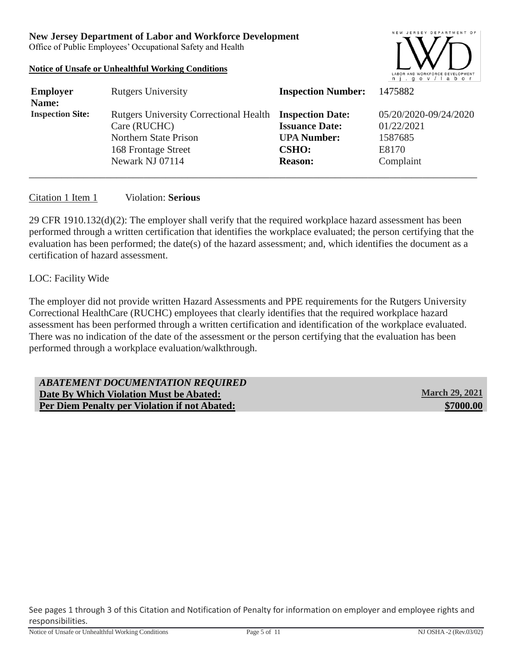Office of Public Employees' Occupational Safety and Health

#### **Notice of Unsafe or Unhealthful Working Conditions**



| <b>Employer</b><br>Name: | <b>Rutgers University</b>                                                                                                                         | <b>Inspection Number:</b>                                                     | 1475882                                                              |
|--------------------------|---------------------------------------------------------------------------------------------------------------------------------------------------|-------------------------------------------------------------------------------|----------------------------------------------------------------------|
| <b>Inspection Site:</b>  | Rutgers University Correctional Health Inspection Date:<br>Care (RUCHC)<br><b>Northern State Prison</b><br>168 Frontage Street<br>Newark NJ 07114 | <b>Issuance Date:</b><br><b>UPA Number:</b><br><b>CSHO:</b><br><b>Reason:</b> | 05/20/2020-09/24/2020<br>01/22/2021<br>1587685<br>E8170<br>Complaint |

### Citation 1 Item 1 Violation: **Serious**

29 CFR 1910.132(d)(2): The employer shall verify that the required workplace hazard assessment has been performed through a written certification that identifies the workplace evaluated; the person certifying that the evaluation has been performed; the date(s) of the hazard assessment; and, which identifies the document as a certification of hazard assessment.

#### LOC: Facility Wide

The employer did not provide written Hazard Assessments and PPE requirements for the Rutgers University Correctional HealthCare (RUCHC) employees that clearly identifies that the required workplace hazard assessment has been performed through a written certification and identification of the workplace evaluated. There was no indication of the date of the assessment or the person certifying that the evaluation has been performed through a workplace evaluation/walkthrough.

| ABATEMENT DOCUMENTATION REQUIRED              |                       |
|-----------------------------------------------|-----------------------|
| Date By Which Violation Must be Abated:       | <b>March 29, 2021</b> |
| Per Diem Penalty per Violation if not Abated: | \$7000.00             |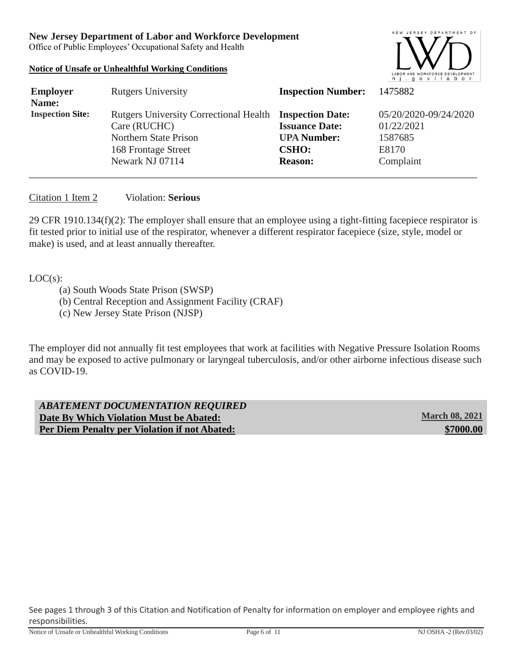Office of Public Employees' Occupational Safety and Health

# **Notice of Unsafe or Unhealthful Working Conditions**



| <b>Employer</b><br>Name: | <b>Rutgers University</b>                                                                                                                  | <b>Inspection Number:</b>                                                     | 1475882                                                              |
|--------------------------|--------------------------------------------------------------------------------------------------------------------------------------------|-------------------------------------------------------------------------------|----------------------------------------------------------------------|
| <b>Inspection Site:</b>  | Rutgers University Correctional Health Inspection Date:<br>Care (RUCHC)<br>Northern State Prison<br>168 Frontage Street<br>Newark NJ 07114 | <b>Issuance Date:</b><br><b>UPA Number:</b><br><b>CSHO:</b><br><b>Reason:</b> | 05/20/2020-09/24/2020<br>01/22/2021<br>1587685<br>E8170<br>Complaint |

### Citation 1 Item 2 Violation: **Serious**

29 CFR 1910.134(f)(2): The employer shall ensure that an employee using a tight-fitting facepiece respirator is fit tested prior to initial use of the respirator, whenever a different respirator facepiece (size, style, model or make) is used, and at least annually thereafter.

#### $LOC(s)$ :

- (a) South Woods State Prison (SWSP)
- (b) Central Reception and Assignment Facility (CRAF)
- (c) New Jersey State Prison (NJSP)

The employer did not annually fit test employees that work at facilities with Negative Pressure Isolation Rooms and may be exposed to active pulmonary or laryngeal tuberculosis, and/or other airborne infectious disease such as COVID-19.

*ABATEMENT DOCUMENTATION REQUIRED* **Date By Which Violation Must be Abated: March 08, 2021 Per Diem Penalty per Violation if not Abated: <b>\$7000.00 \$7000.00**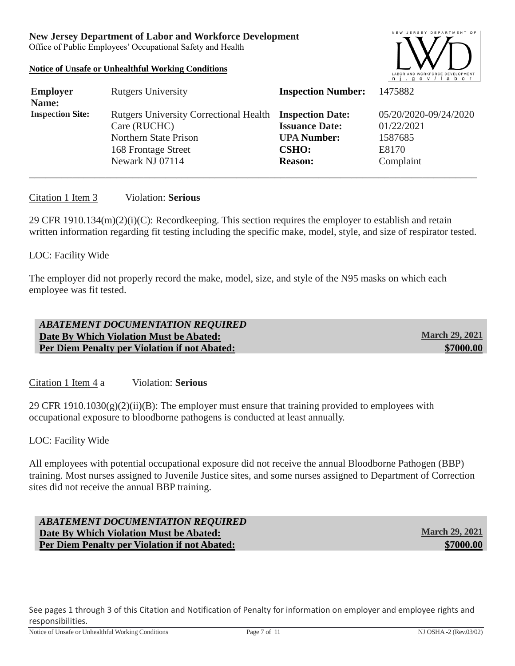Office of Public Employees' Occupational Safety and Health

# **Notice of Unsafe or Unhealthful Working Conditions**



| <b>Employer</b><br>Name: | <b>Rutgers University</b>                                                                                                                  | <b>Inspection Number:</b>                                                     | 1475882                                                              |
|--------------------------|--------------------------------------------------------------------------------------------------------------------------------------------|-------------------------------------------------------------------------------|----------------------------------------------------------------------|
| <b>Inspection Site:</b>  | Rutgers University Correctional Health Inspection Date:<br>Care (RUCHC)<br>Northern State Prison<br>168 Frontage Street<br>Newark NJ 07114 | <b>Issuance Date:</b><br><b>UPA Number:</b><br><b>CSHO:</b><br><b>Reason:</b> | 05/20/2020-09/24/2020<br>01/22/2021<br>1587685<br>E8170<br>Complaint |

#### Citation 1 Item 3 Violation: **Serious**

29 CFR 1910.134(m)(2)(i)(C): Recordkeeping. This section requires the employer to establish and retain written information regarding fit testing including the specific make, model, style, and size of respirator tested.

#### LOC: Facility Wide

The employer did not properly record the make, model, size, and style of the N95 masks on which each employee was fit tested.

| <b>ABATEMENT DOCUMENTATION REQUIRED</b>              |                       |
|------------------------------------------------------|-----------------------|
| Date By Which Violation Must be Abated:              | <b>March 29, 2021</b> |
| <b>Per Diem Penalty per Violation if not Abated:</b> | \$7000.00             |

Citation 1 Item 4 a Violation: **Serious**

29 CFR  $1910.1030(g)(2)(ii)(B)$ : The employer must ensure that training provided to employees with occupational exposure to bloodborne pathogens is conducted at least annually.

LOC: Facility Wide

All employees with potential occupational exposure did not receive the annual Bloodborne Pathogen (BBP) training. Most nurses assigned to Juvenile Justice sites, and some nurses assigned to Department of Correction sites did not receive the annual BBP training.

# *ABATEMENT DOCUMENTATION REQUIRED* **Date By Which Violation Must be Abated:** March 29, 2021 **Per Diem Penalty per Violation if not Abated: \$7000.00 \$7000.00**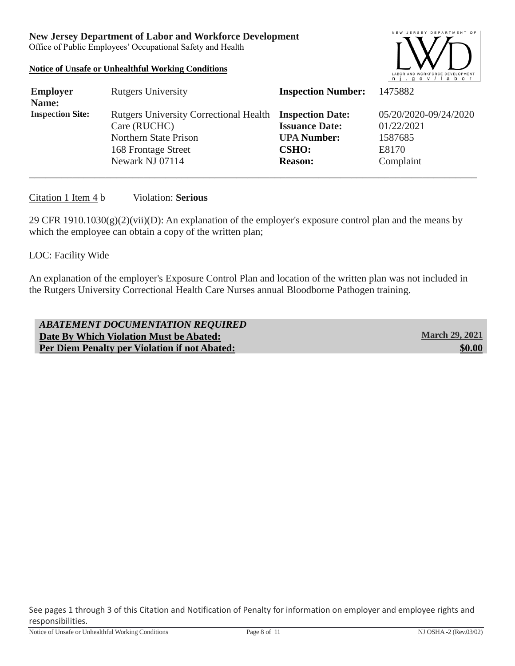Office of Public Employees' Occupational Safety and Health

#### **Notice of Unsafe or Unhealthful Working Conditions**



| <b>Employer</b><br>Name: | <b>Rutgers University</b>                                                                                                                  | <b>Inspection Number:</b>                                                     | 1475882                                                              |
|--------------------------|--------------------------------------------------------------------------------------------------------------------------------------------|-------------------------------------------------------------------------------|----------------------------------------------------------------------|
| <b>Inspection Site:</b>  | Rutgers University Correctional Health Inspection Date:<br>Care (RUCHC)<br>Northern State Prison<br>168 Frontage Street<br>Newark NJ 07114 | <b>Issuance Date:</b><br><b>UPA Number:</b><br><b>CSHO:</b><br><b>Reason:</b> | 05/20/2020-09/24/2020<br>01/22/2021<br>1587685<br>E8170<br>Complaint |

#### Citation 1 Item 4 b Violation: **Serious**

29 CFR 1910.1030(g)(2)(vii)(D): An explanation of the employer's exposure control plan and the means by which the employee can obtain a copy of the written plan;

### LOC: Facility Wide

An explanation of the employer's Exposure Control Plan and location of the written plan was not included in the Rutgers University Correctional Health Care Nurses annual Bloodborne Pathogen training.

| <b>ABATEMENT DOCUMENTATION REQUIRED</b>              |                       |
|------------------------------------------------------|-----------------------|
| Date By Which Violation Must be Abated:              | <b>March 29, 2021</b> |
| <b>Per Diem Penalty per Violation if not Abated:</b> | \$0.00                |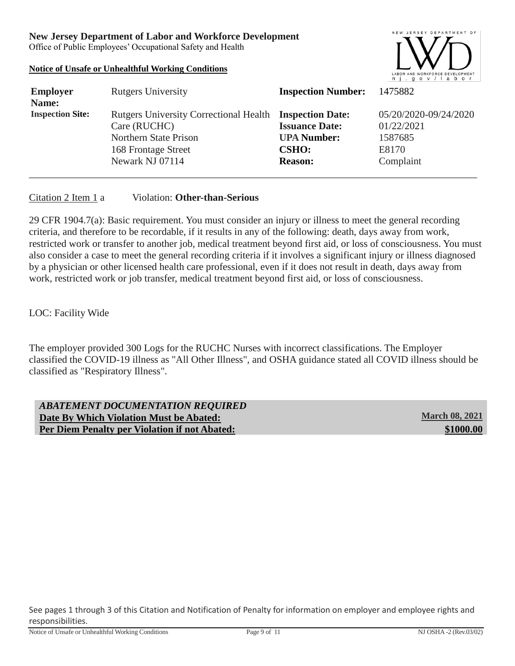Office of Public Employees' Occupational Safety and Health

#### **Notice of Unsafe or Unhealthful Working Conditions**



| <b>Employer</b><br>Name: | <b>Rutgers University</b>                                                                                                                  | <b>Inspection Number:</b>                                                     | 1475882                                                              |
|--------------------------|--------------------------------------------------------------------------------------------------------------------------------------------|-------------------------------------------------------------------------------|----------------------------------------------------------------------|
| <b>Inspection Site:</b>  | Rutgers University Correctional Health Inspection Date:<br>Care (RUCHC)<br>Northern State Prison<br>168 Frontage Street<br>Newark NJ 07114 | <b>Issuance Date:</b><br><b>UPA Number:</b><br><b>CSHO:</b><br><b>Reason:</b> | 05/20/2020-09/24/2020<br>01/22/2021<br>1587685<br>E8170<br>Complaint |

#### Citation 2 Item 1 a Violation: **Other-than-Serious**

29 CFR 1904.7(a): Basic requirement. You must consider an injury or illness to meet the general recording criteria, and therefore to be recordable, if it results in any of the following: death, days away from work, restricted work or transfer to another job, medical treatment beyond first aid, or loss of consciousness. You must also consider a case to meet the general recording criteria if it involves a significant injury or illness diagnosed by a physician or other licensed health care professional, even if it does not result in death, days away from work, restricted work or job transfer, medical treatment beyond first aid, or loss of consciousness.

# LOC: Facility Wide

The employer provided 300 Logs for the RUCHC Nurses with incorrect classifications. The Employer classified the COVID-19 illness as "All Other Illness", and OSHA guidance stated all COVID illness should be classified as "Respiratory Illness".

| <b>ABATEMENT DOCUMENTATION REQUIRED</b>              |                       |
|------------------------------------------------------|-----------------------|
| Date By Which Violation Must be Abated:              | <b>March 08, 2021</b> |
| <b>Per Diem Penalty per Violation if not Abated:</b> | \$1000.00             |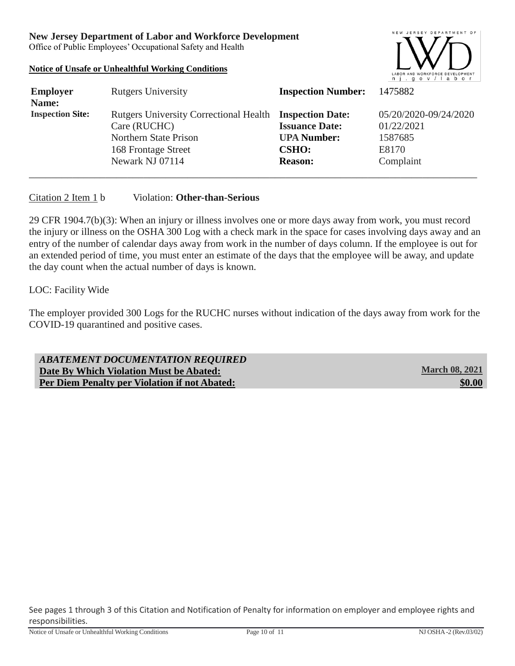Office of Public Employees' Occupational Safety and Health

#### **Notice of Unsafe or Unhealthful Working Conditions**



| <b>Employer</b><br>Name: | <b>Rutgers University</b>                                               | <b>Inspection Number:</b>          | 1475882                             |
|--------------------------|-------------------------------------------------------------------------|------------------------------------|-------------------------------------|
| <b>Inspection Site:</b>  | Rutgers University Correctional Health Inspection Date:<br>Care (RUCHC) | <b>Issuance Date:</b>              | 05/20/2020-09/24/2020<br>01/22/2021 |
|                          | Northern State Prison<br>168 Frontage Street                            | <b>UPA Number:</b><br><b>CSHO:</b> | 1587685<br>E8170                    |
|                          | Newark NJ 07114                                                         | <b>Reason:</b>                     | Complaint                           |

#### Citation 2 Item 1 b Violation: **Other-than-Serious**

29 CFR 1904.7(b)(3): When an injury or illness involves one or more days away from work, you must record the injury or illness on the OSHA 300 Log with a check mark in the space for cases involving days away and an entry of the number of calendar days away from work in the number of days column. If the employee is out for an extended period of time, you must enter an estimate of the days that the employee will be away, and update the day count when the actual number of days is known.

# LOC: Facility Wide

The employer provided 300 Logs for the RUCHC nurses without indication of the days away from work for the COVID-19 quarantined and positive cases.

| ABATEMENT DOCUMENTATION REQUIRED                     |                       |
|------------------------------------------------------|-----------------------|
| Date By Which Violation Must be Abated:              | <b>March 08, 2021</b> |
| <b>Per Diem Penalty per Violation if not Abated:</b> | \$0.00                |